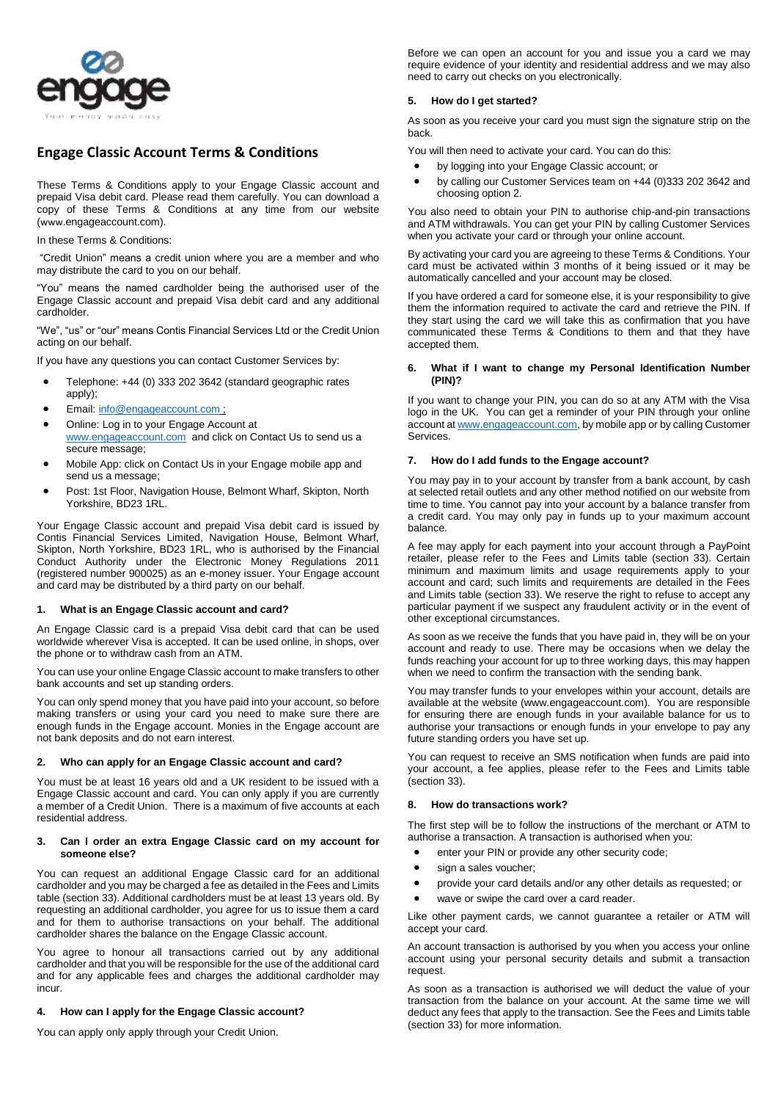

# **Engage Classic Account Terms & Conditions**

These Terms & Conditions apply to your Engage Classic account and prepaid Visa debit card. Please read them carefully. You can download a copy of these Terms & Conditions at any time from our website (www.engageaccount.com).

### In these Terms & Conditions:

"Credit Union" means a credit union where you are a member and who may distribute the card to you on our behalf.

"You" means the named cardholder being the authorised user of the Engage Classic account and prepaid Visa debit card and any additional cardholder.

"We", "us" or "our" means Contis Financial Services Ltd or the Credit Union acting on our behalf.

If you have any questions you can contact Customer Services by:

- Telephone: +44 (0) 333 202 3642 (standard geographic rates apply);
- Email[: info@engageaccount.com](mailto:info@engageaccount.com) ;
- Online: Log in to your Engage Account at [www.engageaccount.com](http://www.engageaccount.com/) and click on Contact Us to send us a secure message;
- Mobile App: click on Contact Us in your Engage mobile app and send us a message;
- Post: 1st Floor, Navigation House, Belmont Wharf, Skipton, North Yorkshire, BD23 1RL.

Your Engage Classic account and prepaid Visa debit card is issued by Contis Financial Services Limited, Navigation House, Belmont Wharf, Skipton, North Yorkshire, BD23 1RL, who is authorised by the Financial Conduct Authority under the Electronic Money Regulations 2011 (registered number 900025) as an e-money issuer. Your Engage account and card may be distributed by a third party on our behalf.

# **1. What is an Engage Classic account and card?**

An Engage Classic card is a prepaid Visa debit card that can be used worldwide wherever Visa is accepted. It can be used online, in shops, over the phone or to withdraw cash from an ATM.

You can use your online Engage Classic account to make transfers to other bank accounts and set up standing orders.

You can only spend money that you have paid into your account, so before making transfers or using your card you need to make sure there are enough funds in the Engage account. Monies in the Engage account are not bank deposits and do not earn interest.

#### **2. Who can apply for an Engage Classic account and card?**

You must be at least 16 years old and a UK resident to be issued with a Engage Classic account and card. You can only apply if you are currently a member of a Credit Union. There is a maximum of five accounts at each residential address.

### **3. Can I order an extra Engage Classic card on my account for someone else?**

You can request an additional Engage Classic card for an additional cardholder and you may be charged a fee as detailed in the Fees and Limits table (section 33). Additional cardholders must be at least 13 years old. By requesting an additional cardholder, you agree for us to issue them a card and for them to authorise transactions on your behalf. The additional cardholder shares the balance on the Engage Classic account.

You agree to honour all transactions carried out by any additional cardholder and that you will be responsible for the use of the additional card and for any applicable fees and charges the additional cardholder may incur.

## **4. How can I apply for the Engage Classic account?**

You can apply only apply through your Credit Union.

Before we can open an account for you and issue you a card we may require evidence of your identity and residential address and we may also need to carry out checks on you electronically.

# **5. How do I get started?**

As soon as you receive your card you must sign the signature strip on the back.

You will then need to activate your card. You can do this:

- by logging into your Engage Classic account; or
- by calling our Customer Services team on +44 (0)333 202 3642 and choosing option 2.

You also need to obtain your PIN to authorise chip-and-pin transactions and ATM withdrawals. You can get your PIN by calling Customer Services when you activate your card or through your online account.

By activating your card you are agreeing to these Terms & Conditions. Your card must be activated within 3 months of it being issued or it may be automatically cancelled and your account may be closed.

If you have ordered a card for someone else, it is your responsibility to give them the information required to activate the card and retrieve the PIN. If they start using the card we will take this as confirmation that you have communicated these Terms & Conditions to them and that they have accepted them.

### **6. What if I want to change my Personal Identification Number (PIN)?**

If you want to change your PIN, you can do so at any ATM with the Visa logo in the UK. You can get a reminder of your PIN through your online account a[t www.engageaccount.com,](http://www.engageaccount.com/) by mobile app or by calling Customer Services.

### **7. How do I add funds to the Engage account?**

You may pay in to your account by transfer from a bank account, by cash at selected retail outlets and any other method notified on our website from time to time. You cannot pay into your account by a balance transfer from a credit card. You may only pay in funds up to your maximum account balance.

A fee may apply for each payment into your account through a PayPoint retailer, please refer to the Fees and Limits table (section 33). Certain minimum and maximum limits and usage requirements apply to your account and card; such limits and requirements are detailed in the Fees and Limits table (section 33). We reserve the right to refuse to accept any particular payment if we suspect any fraudulent activity or in the event of other exceptional circumstances.

As soon as we receive the funds that you have paid in, they will be on your account and ready to use. There may be occasions when we delay the funds reaching your account for up to three working days, this may happen when we need to confirm the transaction with the sending bank.

You may transfer funds to your envelopes within your account, details are available at the website (www.engageaccount.com). You are responsible for ensuring there are enough funds in your available balance for us to authorise your transactions or enough funds in your envelope to pay any future standing orders you have set up.

You can request to receive an SMS notification when funds are paid into your account, a fee applies, please refer to the Fees and Limits table (section 33).

## **8. How do transactions work?**

The first step will be to follow the instructions of the merchant or ATM to authorise a transaction. A transaction is authorised when you:

- enter your PIN or provide any other security code;
- sign a sales voucher;
- provide your card details and/or any other details as requested; or
- wave or swipe the card over a card reader.

Like other payment cards, we cannot guarantee a retailer or ATM will accept your card.

An account transaction is authorised by you when you access your online account using your personal security details and submit a transaction request.

As soon as a transaction is authorised we will deduct the value of your transaction from the balance on your account. At the same time we will deduct any fees that apply to the transaction. See the Fees and Limits table (section 33) for more information.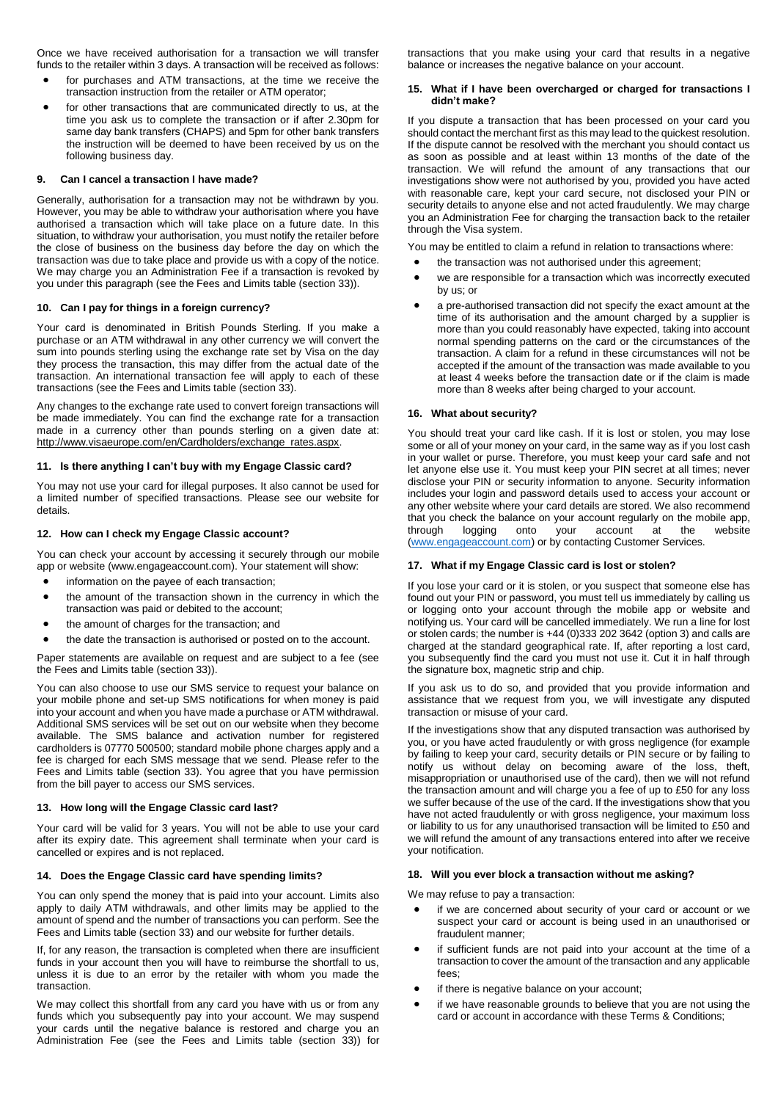Once we have received authorisation for a transaction we will transfer funds to the retailer within 3 days. A transaction will be received as follows:

- for purchases and ATM transactions, at the time we receive the transaction instruction from the retailer or ATM operator;
- for other transactions that are communicated directly to us, at the time you ask us to complete the transaction or if after 2.30pm for same day bank transfers (CHAPS) and 5pm for other bank transfers the instruction will be deemed to have been received by us on the following business day.

## **9. Can I cancel a transaction I have made?**

Generally, authorisation for a transaction may not be withdrawn by you. However, you may be able to withdraw your authorisation where you have authorised a transaction which will take place on a future date. In this situation, to withdraw your authorisation, you must notify the retailer before the close of business on the business day before the day on which the transaction was due to take place and provide us with a copy of the notice. We may charge you an Administration Fee if a transaction is revoked by you under this paragraph (see the Fees and Limits table (section 33)).

### **10. Can I pay for things in a foreign currency?**

Your card is denominated in British Pounds Sterling. If you make a purchase or an ATM withdrawal in any other currency we will convert the sum into pounds sterling using the exchange rate set by Visa on the day they process the transaction, this may differ from the actual date of the transaction. An international transaction fee will apply to each of these transactions (see the Fees and Limits table (section 33).

Any changes to the exchange rate used to convert foreign transactions will be made immediately. You can find the exchange rate for a transaction made in a currency other than pounds sterling on a given date at: [http://www.visaeurope.com/en/Cardholders/exchange\\_rates.aspx.](http://www.visaeurope.com/en/cardholders/exchange_rates.aspx)

# **11. Is there anything I can't buy with my Engage Classic card?**

You may not use your card for illegal purposes. It also cannot be used for a limited number of specified transactions. Please see our website for details.

#### **12. How can I check my Engage Classic account?**

You can check your account by accessing it securely through our mobile app or website (www.engageaccount.com). Your statement will show:

- information on the payee of each transaction;
- the amount of the transaction shown in the currency in which the transaction was paid or debited to the account;
- the amount of charges for the transaction; and
- the date the transaction is authorised or posted on to the account.

Paper statements are available on request and are subject to a fee (see the Fees and Limits table (section 33)).

You can also choose to use our SMS service to request your balance on your mobile phone and set-up SMS notifications for when money is paid into your account and when you have made a purchase or ATM withdrawal. Additional SMS services will be set out on our website when they become available. The SMS balance and activation number for registered cardholders is 07770 500500; standard mobile phone charges apply and a fee is charged for each SMS message that we send. Please refer to the Fees and Limits table (section 33). You agree that you have permission from the bill payer to access our SMS services.

## **13. How long will the Engage Classic card last?**

Your card will be valid for 3 years. You will not be able to use your card after its expiry date. This agreement shall terminate when your card is cancelled or expires and is not replaced.

#### **14. Does the Engage Classic card have spending limits?**

You can only spend the money that is paid into your account. Limits also apply to daily ATM withdrawals, and other limits may be applied to the amount of spend and the number of transactions you can perform. See the Fees and Limits table (section 33) and our website for further details.

If, for any reason, the transaction is completed when there are insufficient funds in your account then you will have to reimburse the shortfall to us, unless it is due to an error by the retailer with whom you made the transaction.

We may collect this shortfall from any card you have with us or from any funds which you subsequently pay into your account. We may suspend your cards until the negative balance is restored and charge you an Administration Fee (see the Fees and Limits table (section 33)) for transactions that you make using your card that results in a negative balance or increases the negative balance on your account.

#### **15. What if I have been overcharged or charged for transactions I didn't make?**

If you dispute a transaction that has been processed on your card you should contact the merchant first as this may lead to the quickest resolution. If the dispute cannot be resolved with the merchant you should contact us as soon as possible and at least within 13 months of the date of the transaction. We will refund the amount of any transactions that our investigations show were not authorised by you, provided you have acted with reasonable care, kept your card secure, not disclosed your PIN or security details to anyone else and not acted fraudulently. We may charge you an Administration Fee for charging the transaction back to the retailer through the Visa system.

You may be entitled to claim a refund in relation to transactions where:

- the transaction was not authorised under this agreement;
- we are responsible for a transaction which was incorrectly executed by us; or
- a pre-authorised transaction did not specify the exact amount at the time of its authorisation and the amount charged by a supplier is more than you could reasonably have expected, taking into account normal spending patterns on the card or the circumstances of the transaction. A claim for a refund in these circumstances will not be accepted if the amount of the transaction was made available to you at least 4 weeks before the transaction date or if the claim is made more than 8 weeks after being charged to your account.

### **16. What about security?**

You should treat your card like cash. If it is lost or stolen, you may lose some or all of your money on your card, in the same way as if you lost cash in your wallet or purse. Therefore, you must keep your card safe and not let anyone else use it. You must keep your PIN secret at all times; never disclose your PIN or security information to anyone. Security information includes your login and password details used to access your account or any other website where your card details are stored. We also recommend that you check the balance on your account regularly on the mobile app, through logging onto your account at the website through logging onto your account at the website [\(www.engageaccount.com\)](http://www.engageaccount.com/) or by contacting Customer Services.

# **17. What if my Engage Classic card is lost or stolen?**

If you lose your card or it is stolen, or you suspect that someone else has found out your PIN or password, you must tell us immediately by calling us or logging onto your account through the mobile app or website and notifying us. Your card will be cancelled immediately. We run a line for lost or stolen cards; the number is +44 (0)333 202 3642 (option 3) and calls are charged at the standard geographical rate. If, after reporting a lost card, you subsequently find the card you must not use it. Cut it in half through the signature box, magnetic strip and chip.

If you ask us to do so, and provided that you provide information and assistance that we request from you, we will investigate any disputed transaction or misuse of your card.

If the investigations show that any disputed transaction was authorised by you, or you have acted fraudulently or with gross negligence (for example by failing to keep your card, security details or PIN secure or by failing to notify us without delay on becoming aware of the loss, theft, misappropriation or unauthorised use of the card), then we will not refund the transaction amount and will charge you a fee of up to £50 for any loss we suffer because of the use of the card. If the investigations show that you have not acted fraudulently or with gross negligence, your maximum loss or liability to us for any unauthorised transaction will be limited to £50 and we will refund the amount of any transactions entered into after we receive your notification.

#### **18. Will you ever block a transaction without me asking?**

We may refuse to pay a transaction:

- if we are concerned about security of your card or account or we suspect your card or account is being used in an unauthorised or fraudulent manner;
- if sufficient funds are not paid into your account at the time of a transaction to cover the amount of the transaction and any applicable fees;
- if there is negative balance on your account;
- if we have reasonable grounds to believe that you are not using the card or account in accordance with these Terms & Conditions;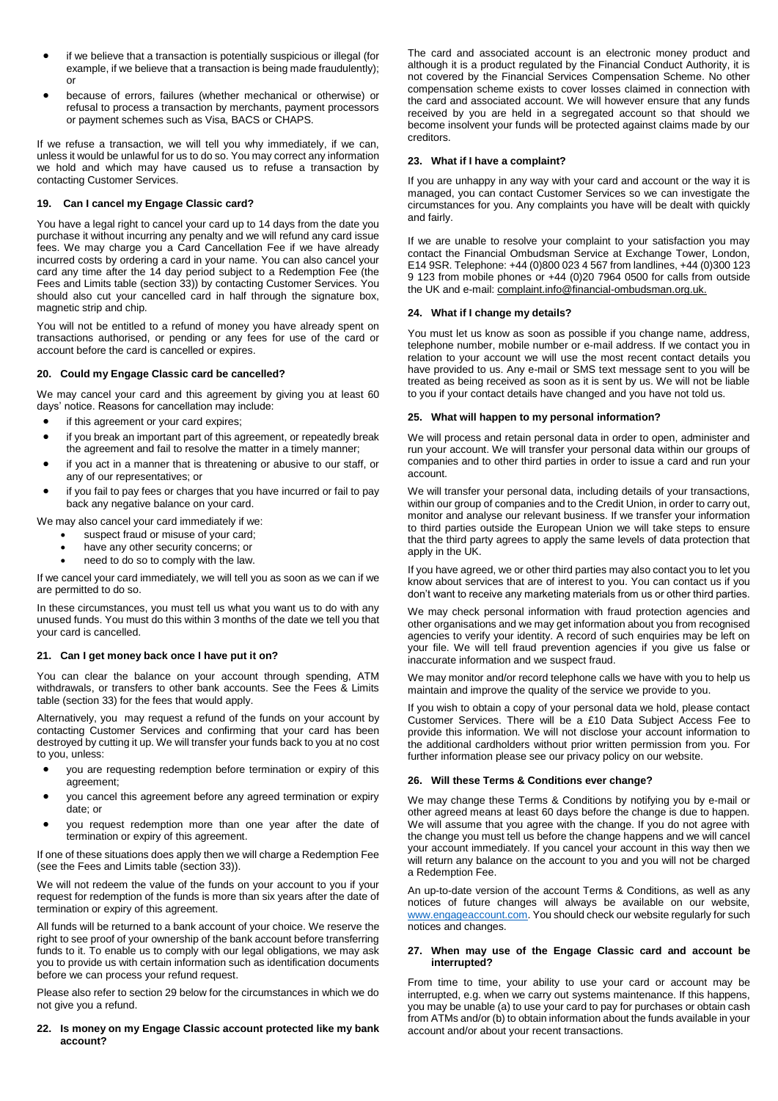- if we believe that a transaction is potentially suspicious or illegal (for example, if we believe that a transaction is being made fraudulently); or
- because of errors, failures (whether mechanical or otherwise) or refusal to process a transaction by merchants, payment processors or payment schemes such as Visa, BACS or CHAPS.

If we refuse a transaction, we will tell you why immediately, if we can, unless it would be unlawful for us to do so. You may correct any information we hold and which may have caused us to refuse a transaction by contacting Customer Services.

# **19. Can I cancel my Engage Classic card?**

You have a legal right to cancel your card up to 14 days from the date you purchase it without incurring any penalty and we will refund any card issue fees. We may charge you a Card Cancellation Fee if we have already incurred costs by ordering a card in your name. You can also cancel your card any time after the 14 day period subject to a Redemption Fee (the Fees and Limits table (section 33)) by contacting Customer Services. You should also cut your cancelled card in half through the signature box, magnetic strip and chip.

You will not be entitled to a refund of money you have already spent on transactions authorised, or pending or any fees for use of the card or account before the card is cancelled or expires.

## **20. Could my Engage Classic card be cancelled?**

We may cancel your card and this agreement by giving you at least 60 days' notice. Reasons for cancellation may include:

- if this agreement or your card expires;
- if you break an important part of this agreement, or repeatedly break the agreement and fail to resolve the matter in a timely manner;
- if you act in a manner that is threatening or abusive to our staff, or any of our representatives; or
- if you fail to pay fees or charges that you have incurred or fail to pay back any negative balance on your card.

We may also cancel your card immediately if we:

- suspect fraud or misuse of your card;
- have any other security concerns; or
- need to do so to comply with the law.

If we cancel your card immediately, we will tell you as soon as we can if we are permitted to do so.

In these circumstances, you must tell us what you want us to do with any unused funds. You must do this within 3 months of the date we tell you that your card is cancelled.

## **21. Can I get money back once I have put it on?**

You can clear the balance on your account through spending, ATM withdrawals, or transfers to other bank accounts. See the Fees & Limits table (section 33) for the fees that would apply.

Alternatively, you may request a refund of the funds on your account by contacting Customer Services and confirming that your card has been destroyed by cutting it up. We will transfer your funds back to you at no cost to you, unless:

- you are requesting redemption before termination or expiry of this agreement;
- you cancel this agreement before any agreed termination or expiry date; or
- you request redemption more than one year after the date of termination or expiry of this agreement.

If one of these situations does apply then we will charge a Redemption Fee (see the Fees and Limits table (section 33)).

We will not redeem the value of the funds on your account to you if your request for redemption of the funds is more than six years after the date of termination or expiry of this agreement.

All funds will be returned to a bank account of your choice. We reserve the right to see proof of your ownership of the bank account before transferring funds to it. To enable us to comply with our legal obligations, we may ask you to provide us with certain information such as identification documents before we can process your refund request.

Please also refer to section 29 below for the circumstances in which we do not give you a refund.

## **22. Is money on my Engage Classic account protected like my bank account?**

The card and associated account is an electronic money product and although it is a product regulated by the Financial Conduct Authority, it is not covered by the Financial Services Compensation Scheme. No other compensation scheme exists to cover losses claimed in connection with the card and associated account. We will however ensure that any funds received by you are held in a segregated account so that should we become insolvent your funds will be protected against claims made by our creditors.

### **23. What if I have a complaint?**

If you are unhappy in any way with your card and account or the way it is managed, you can contact Customer Services so we can investigate the circumstances for you. Any complaints you have will be dealt with quickly and fairly.

If we are unable to resolve your complaint to your satisfaction you may contact the Financial Ombudsman Service at Exchange Tower, London, E14 9SR. Telephone: +44 (0)800 023 4 567 from landlines, +44 (0)300 123 9 123 from mobile phones or +44 (0)20 7964 0500 for calls from outside the UK and e-mail: complaint.info@financial-ombudsman.org.uk.

## **24. What if I change my details?**

You must let us know as soon as possible if you change name, address, telephone number, mobile number or e-mail address. If we contact you in relation to your account we will use the most recent contact details you have provided to us. Any e-mail or SMS text message sent to you will be treated as being received as soon as it is sent by us. We will not be liable to you if your contact details have changed and you have not told us.

### **25. What will happen to my personal information?**

We will process and retain personal data in order to open, administer and run your account. We will transfer your personal data within our groups of companies and to other third parties in order to issue a card and run your account.

We will transfer your personal data, including details of your transactions, within our group of companies and to the Credit Union, in order to carry out, monitor and analyse our relevant business. If we transfer your information to third parties outside the European Union we will take steps to ensure that the third party agrees to apply the same levels of data protection that apply in the UK.

If you have agreed, we or other third parties may also contact you to let you know about services that are of interest to you. You can contact us if you don't want to receive any marketing materials from us or other third parties.

We may check personal information with fraud protection agencies and other organisations and we may get information about you from recognised agencies to verify your identity. A record of such enquiries may be left on your file. We will tell fraud prevention agencies if you give us false or inaccurate information and we suspect fraud.

We may monitor and/or record telephone calls we have with you to help us maintain and improve the quality of the service we provide to you.

If you wish to obtain a copy of your personal data we hold, please contact Customer Services. There will be a £10 Data Subject Access Fee to provide this information. We will not disclose your account information to the additional cardholders without prior written permission from you. For further information please see our privacy policy on our website.

## **26. Will these Terms & Conditions ever change?**

We may change these Terms & Conditions by notifying you by e-mail or other agreed means at least 60 days before the change is due to happen. We will assume that you agree with the change. If you do not agree with the change you must tell us before the change happens and we will cancel your account immediately. If you cancel your account in this way then we will return any balance on the account to you and you will not be charged a Redemption Fee.

An up-to-date version of the account Terms & Conditions, as well as any notices of future changes will always be available on our website, [www.engageaccount.com.](http://www.engageaccount.com/) You should check our website regularly for such notices and changes.

### **27. When may use of the Engage Classic card and account be interrupted?**

From time to time, your ability to use your card or account may be interrupted, e.g. when we carry out systems maintenance. If this happens, you may be unable (a) to use your card to pay for purchases or obtain cash from ATMs and/or (b) to obtain information about the funds available in your account and/or about your recent transactions.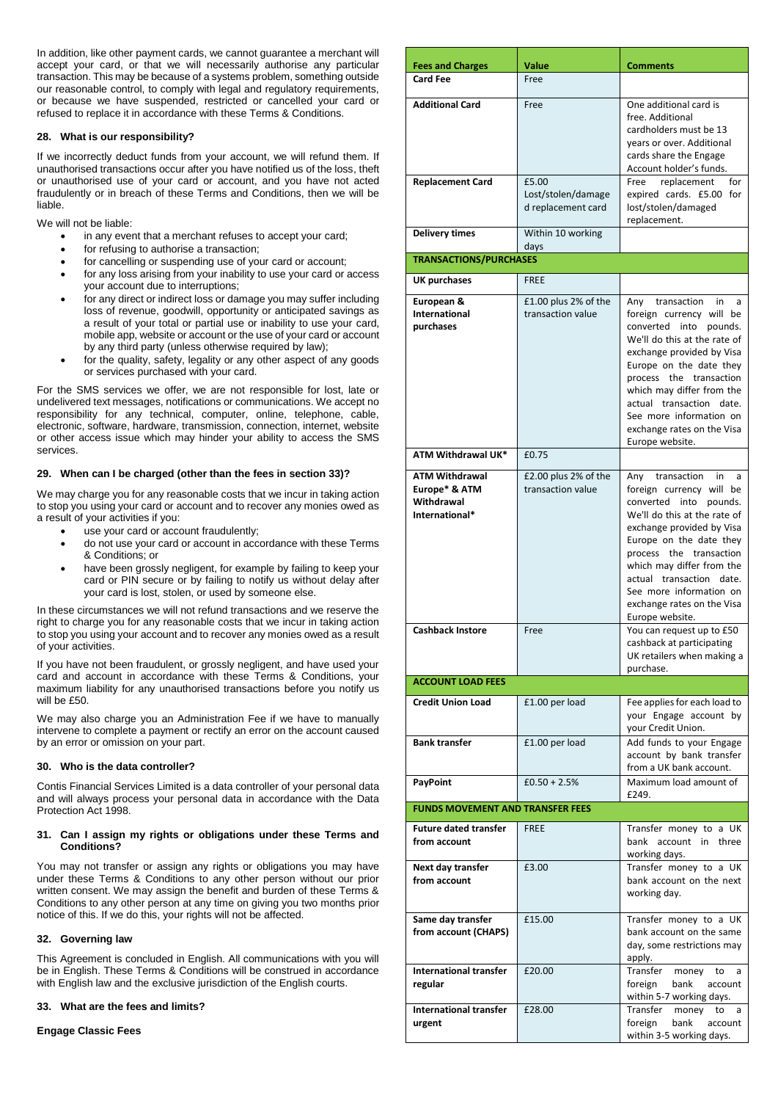In addition, like other payment cards, we cannot guarantee a merchant will accept your card, or that we will necessarily authorise any particular transaction. This may be because of a systems problem, something outside our reasonable control, to comply with legal and regulatory requirements, or because we have suspended, restricted or cancelled your card or refused to replace it in accordance with these Terms & Conditions.

# **28. What is our responsibility?**

If we incorrectly deduct funds from your account, we will refund them. If unauthorised transactions occur after you have notified us of the loss, theft or unauthorised use of your card or account, and you have not acted fraudulently or in breach of these Terms and Conditions, then we will be liable.

We will not be liable:

- in any event that a merchant refuses to accept your card;
- for refusing to authorise a transaction;
- for cancelling or suspending use of your card or account;
- for any loss arising from your inability to use your card or access your account due to interruptions;
- for any direct or indirect loss or damage you may suffer including loss of revenue, goodwill, opportunity or anticipated savings as a result of your total or partial use or inability to use your card, mobile app, website or account or the use of your card or account by any third party (unless otherwise required by law);
- for the quality, safety, legality or any other aspect of any goods or services purchased with your card.

For the SMS services we offer, we are not responsible for lost, late or undelivered text messages, notifications or communications. We accept no responsibility for any technical, computer, online, telephone, cable, electronic, software, hardware, transmission, connection, internet, website or other access issue which may hinder your ability to access the SMS services.

# **29. When can I be charged (other than the fees in section 33)?**

We may charge you for any reasonable costs that we incur in taking action to stop you using your card or account and to recover any monies owed as a result of your activities if you:

- use your card or account fraudulently;
- do not use your card or account in accordance with these Terms & Conditions; or
- have been grossly negligent, for example by failing to keep your card or PIN secure or by failing to notify us without delay after your card is lost, stolen, or used by someone else.

In these circumstances we will not refund transactions and we reserve the right to charge you for any reasonable costs that we incur in taking action to stop you using your account and to recover any monies owed as a result of your activities.

If you have not been fraudulent, or grossly negligent, and have used your card and account in accordance with these Terms & Conditions, your maximum liability for any unauthorised transactions before you notify us will be £50.

We may also charge you an Administration Fee if we have to manually intervene to complete a payment or rectify an error on the account caused by an error or omission on your part.

## **30. Who is the data controller?**

Contis Financial Services Limited is a data controller of your personal data and will always process your personal data in accordance with the Data Protection Act 1998.

## **31. Can I assign my rights or obligations under these Terms and Conditions?**

You may not transfer or assign any rights or obligations you may have under these Terms & Conditions to any other person without our prior written consent. We may assign the benefit and burden of these Terms & Conditions to any other person at any time on giving you two months prior notice of this. If we do this, your rights will not be affected.

## **32. Governing law**

This Agreement is concluded in English. All communications with you will be in English. These Terms & Conditions will be construed in accordance with English law and the exclusive jurisdiction of the English courts.

## **33. What are the fees and limits?**

## **Engage Classic Fees**

| <b>Fees and Charges</b>                                                | Value                                             | <b>Comments</b>                                                                                                                                                                                                                                                                                                                                |
|------------------------------------------------------------------------|---------------------------------------------------|------------------------------------------------------------------------------------------------------------------------------------------------------------------------------------------------------------------------------------------------------------------------------------------------------------------------------------------------|
| <b>Card Fee</b>                                                        | Free                                              |                                                                                                                                                                                                                                                                                                                                                |
| <b>Additional Card</b>                                                 | Free                                              | One additional card is<br>free. Additional                                                                                                                                                                                                                                                                                                     |
|                                                                        |                                                   | cardholders must be 13<br>years or over. Additional<br>cards share the Engage<br>Account holder's funds.                                                                                                                                                                                                                                       |
| <b>Replacement Card</b>                                                | £5.00<br>Lost/stolen/damage<br>d replacement card | replacement<br>for<br>Free<br>expired cards. £5.00 for<br>lost/stolen/damaged<br>replacement.                                                                                                                                                                                                                                                  |
| <b>Delivery times</b>                                                  | Within 10 working<br>days                         |                                                                                                                                                                                                                                                                                                                                                |
| <b>TRANSACTIONS/PURCHASES</b>                                          |                                                   |                                                                                                                                                                                                                                                                                                                                                |
| UK purchases                                                           | <b>FREE</b>                                       |                                                                                                                                                                                                                                                                                                                                                |
| European &<br>International<br>purchases                               | £1.00 plus 2% of the<br>transaction value         | Any<br>transaction<br>in<br>a<br>foreign currency will be<br>converted into<br>pounds.<br>We'll do this at the rate of<br>exchange provided by Visa<br>Europe on the date they<br>process the transaction<br>which may differ from the<br>actual transaction date.<br>See more information on<br>exchange rates on the Visa<br>Europe website. |
| <b>ATM Withdrawal UK*</b>                                              | £0.75                                             |                                                                                                                                                                                                                                                                                                                                                |
| <b>ATM Withdrawal</b><br>Europe* & ATM<br>Withdrawal<br>International* | £2.00 plus 2% of the<br>transaction value         | Any transaction in<br>a<br>foreign currency will be<br>converted<br>into pounds.<br>We'll do this at the rate of<br>exchange provided by Visa<br>Europe on the date they<br>process the transaction<br>which may differ from the<br>actual transaction<br>date.<br>See more information on<br>exchange rates on the Visa<br>Europe website.    |
| <b>Cashback Instore</b>                                                | Free                                              | You can request up to £50<br>cashback at participating<br>UK retailers when making a<br>purchase.                                                                                                                                                                                                                                              |
| <b>ACCOUNT LOAD FEES</b>                                               |                                                   |                                                                                                                                                                                                                                                                                                                                                |
| <b>Credit Union Load</b>                                               | £1.00 per load                                    | Fee applies for each load to<br>your Engage account by<br>your Credit Union.                                                                                                                                                                                                                                                                   |
| <b>Bank transfer</b>                                                   | £1.00 per load                                    | Add funds to your Engage<br>account by bank transfer<br>from a UK bank account.                                                                                                                                                                                                                                                                |
| PayPoint                                                               | $£0.50 + 2.5%$                                    | Maximum load amount of<br>£249.                                                                                                                                                                                                                                                                                                                |
| <b>FUNDS MOVEMENT AND TRANSFER FEES</b>                                |                                                   |                                                                                                                                                                                                                                                                                                                                                |
| <b>Future dated transfer</b><br>from account                           | <b>FREE</b>                                       | Transfer money to a UK<br>account<br>bank<br>in<br>three<br>working days.                                                                                                                                                                                                                                                                      |
| Next day transfer<br>from account                                      | £3.00                                             | Transfer money to a UK<br>bank account on the next<br>working day.                                                                                                                                                                                                                                                                             |
| Same day transfer<br>from account (CHAPS)                              | £15.00                                            | Transfer money to a UK<br>bank account on the same<br>day, some restrictions may<br>apply.                                                                                                                                                                                                                                                     |
| <b>International transfer</b><br>regular                               | £20.00                                            | Transfer<br>money<br>to<br>a<br>foreign<br>bank<br>account<br>within 5-7 working days.                                                                                                                                                                                                                                                         |
| <b>International transfer</b><br>urgent                                | £28.00                                            | Transfer<br>to<br>money<br>a<br>foreign<br>bank<br>account<br>within 3-5 working days.                                                                                                                                                                                                                                                         |